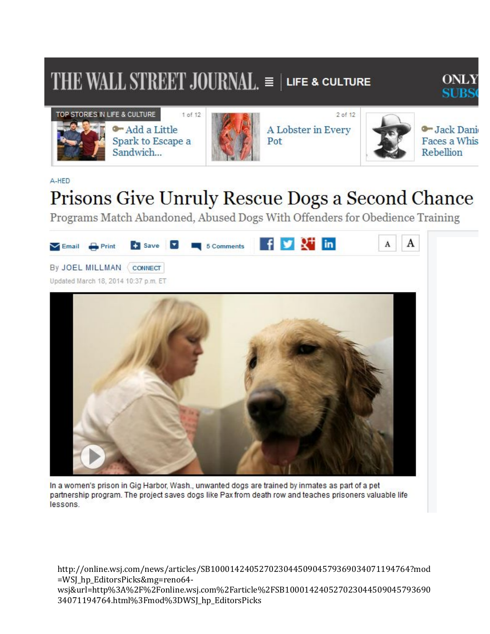

## A-HFD

## Prisons Give Unruly Rescue Dogs a Second Chance

Programs Match Abandoned, Abused Dogs With Offenders for Obedience Training



In a women's prison in Gig Harbor, Wash., unwanted dogs are trained by inmates as part of a pet partnership program. The project saves dogs like Pax from death row and teaches prisoners valuable life lessons.

http://online.wsj.com/news/articles/SB10001424052702304450904579369034071194764?mod =WSJ\_hp\_EditorsPicks&mg=reno64wsj&url=http%3A%2F%2Fonline.wsj.com%2Farticle%2FSB100014240527023044509045793690 34071194764.html%3Fmod%3DWSJ\_hp\_EditorsPicks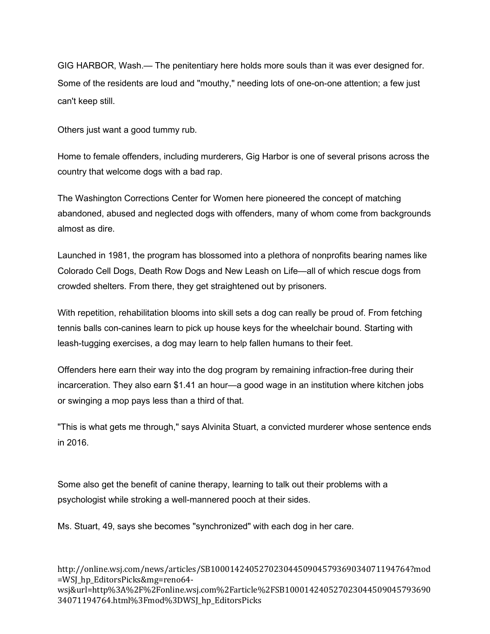GIG HARBOR, Wash.— The penitentiary here holds more souls than it was ever designed for. Some of the residents are loud and "mouthy," needing lots of one-on-one attention; a few just can't keep still.

Others just want a good tummy rub.

Home to female offenders, including murderers, Gig Harbor is one of several prisons across the country that welcome dogs with a bad rap.

The Washington Corrections Center for Women here pioneered the concept of matching abandoned, abused and neglected dogs with offenders, many of whom come from backgrounds almost as dire.

Launched in 1981, the program has blossomed into a plethora of nonprofits bearing names like Colorado Cell Dogs, Death Row Dogs and New Leash on Life—all of which rescue dogs from crowded shelters. From there, they get straightened out by prisoners.

With repetition, rehabilitation blooms into skill sets a dog can really be proud of. From fetching tennis balls con-canines learn to pick up house keys for the wheelchair bound. Starting with leash-tugging exercises, a dog may learn to help fallen humans to their feet.

Offenders here earn their way into the dog program by remaining infraction-free during their incarceration. They also earn \$1.41 an hour—a good wage in an institution where kitchen jobs or swinging a mop pays less than a third of that.

"This is what gets me through," says Alvinita Stuart, a convicted murderer whose sentence ends in 2016.

Some also get the benefit of canine therapy, learning to talk out their problems with a psychologist while stroking a well-mannered pooch at their sides.

Ms. Stuart, 49, says she becomes "synchronized" with each dog in her care.

http://online.wsj.com/news/articles/SB10001424052702304450904579369034071194764?mod =WSJ\_hp\_EditorsPicks&mg=reno64 wsj&url=http%3A%2F%2Fonline.wsj.com%2Farticle%2FSB100014240527023044509045793690 34071194764.html%3Fmod%3DWSJ\_hp\_EditorsPicks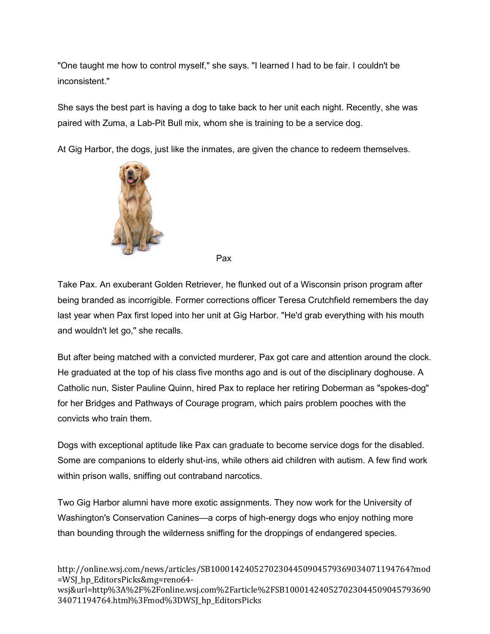"One taught me how to control myself," she says. "I learned I had to be fair. I couldn't be inconsistent."

She says the best part is having a dog to take back to her unit each night. Recently, she was paired with Zuma, a Lab-Pit Bull mix, whom she is training to be a service dog.

At Gig Harbor, the dogs, just like the inmates, are given the chance to redeem themselves.



Pax

Take Pax. An exuberant Golden Retriever, he flunked out of a Wisconsin prison program after being branded as incorrigible. Former corrections officer Teresa Crutchfield remembers the day last year when Pax first loped into her unit at Gig Harbor. "He'd grab everything with his mouth and wouldn't let go," she recalls.

But after being matched with a convicted murderer, Pax got care and attention around the clock. He graduated at the top of his class five months ago and is out of the disciplinary doghouse. A Catholic nun, Sister Pauline Quinn, hired Pax to replace her retiring Doberman as "spokes-dog" for her Bridges and Pathways of Courage program, which pairs problem pooches with the convicts who train them.

Dogs with exceptional aptitude like Pax can graduate to become service dogs for the disabled. Some are companions to elderly shut-ins, while others aid children with autism. A few find work within prison walls, sniffing out contraband narcotics.

Two Gig Harbor alumni have more exotic assignments. They now work for the University of Washington's Conservation Canines—a corps of high-energy dogs who enjoy nothing more than bounding through the wilderness sniffing for the droppings of endangered species.

http://online.wsj.com/news/articles/SB10001424052702304450904579369034071194764?mod =WSJ\_hp\_EditorsPicks&mg=reno64-

wsj&url=http%3A%2F%2Fonline.wsj.com%2Farticle%2FSB100014240527023044509045793690 34071194764.html%3Fmod%3DWSJ\_hp\_EditorsPicks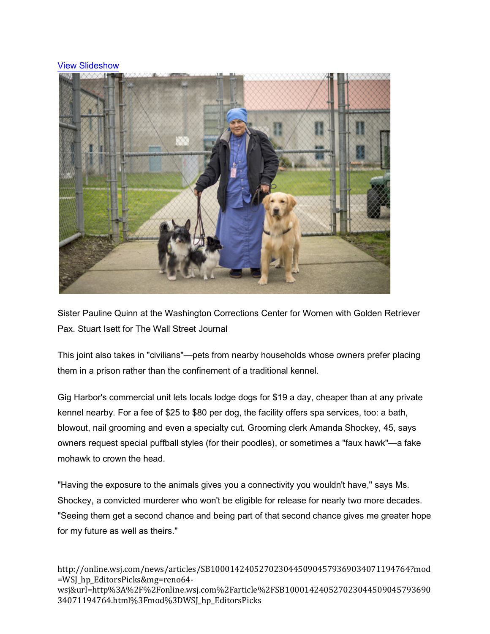## [View Slideshow](http://online.wsj.com/news/articles/SB10001424052702304434104579383471333217130?ref=SB10001424052702304450904579369034071194764)



Sister Pauline Quinn at the Washington Corrections Center for Women with Golden Retriever Pax. Stuart Isett for The Wall Street Journal

This joint also takes in "civilians"—pets from nearby households whose owners prefer placing them in a prison rather than the confinement of a traditional kennel.

Gig Harbor's commercial unit lets locals lodge dogs for \$19 a day, cheaper than at any private kennel nearby. For a fee of \$25 to \$80 per dog, the facility offers spa services, too: a bath, blowout, nail grooming and even a specialty cut. Grooming clerk Amanda Shockey, 45, says owners request special puffball styles (for their poodles), or sometimes a "faux hawk"—a fake mohawk to crown the head.

"Having the exposure to the animals gives you a connectivity you wouldn't have," says Ms. Shockey, a convicted murderer who won't be eligible for release for nearly two more decades. "Seeing them get a second chance and being part of that second chance gives me greater hope for my future as well as theirs."

http://online.wsj.com/news/articles/SB10001424052702304450904579369034071194764?mod =WSJ\_hp\_EditorsPicks&mg=reno64 wsj&url=http%3A%2F%2Fonline.wsj.com%2Farticle%2FSB100014240527023044509045793690 34071194764.html%3Fmod%3DWSJ\_hp\_EditorsPicks